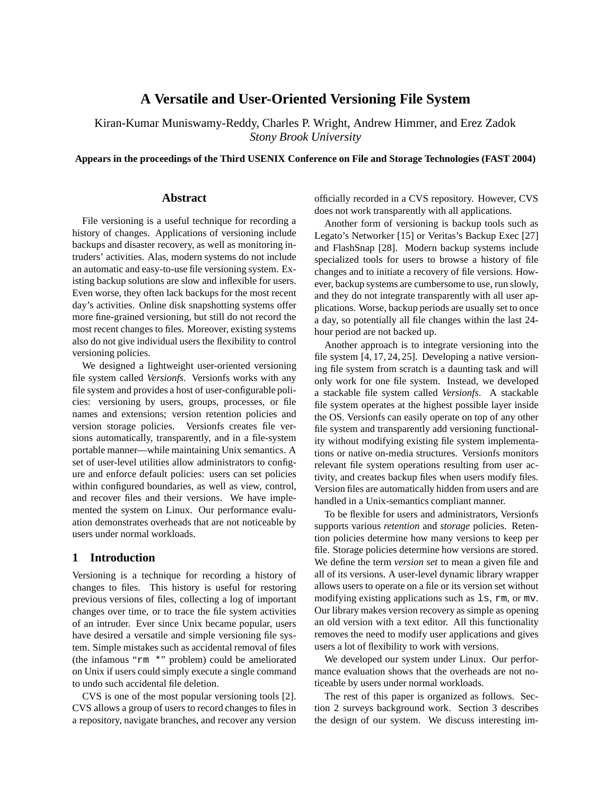# **A Versatile and User-Oriented Versioning File System**

Kiran-Kumar Muniswamy-Reddy, Charles P. Wright, Andrew Himmer, and Erez Zadok *Stony Brook University*

**Appears in the proceedings of the Third USENIX Conference on File and Storage Technologies (FAST 2004)**

## **Abstract**

File versioning is a useful technique for recording a history of changes. Applications of versioning include backups and disaster recovery, as well as monitoring intruders' activities. Alas, modern systems do not include an automatic and easy-to-use file versioning system. Existing backup solutions are slow and inflexible for users. Even worse, they often lack backups for the most recent day's activities. Online disk snapshotting systems offer more fine-grained versioning, but still do not record the most recent changes to files. Moreover, existing systems also do not give individual users the flexibility to control versioning policies.

We designed a lightweight user-oriented versioning file system called *Versionfs*. Versionfs works with any file system and provides a host of user-configurable policies: versioning by users, groups, processes, or file names and extensions; version retention policies and version storage policies. Versionfs creates file versions automatically, transparently, and in a file-system portable manner—while maintaining Unix semantics. A set of user-level utilities allow administrators to configure and enforce default policies: users can set policies within configured boundaries, as well as view, control, and recover files and their versions. We have implemented the system on Linux. Our performance evaluation demonstrates overheads that are not noticeable by users under normal workloads.

## **1 Introduction**

Versioning is a technique for recording a history of changes to files. This history is useful for restoring previous versions of files, collecting a log of important changes over time, or to trace the file system activities of an intruder. Ever since Unix became popular, users have desired a versatile and simple versioning file system. Simple mistakes such as accidental removal of files (the infamous "rm \*" problem) could be ameliorated on Unix if users could simply execute a single command to undo such accidental file deletion.

CVS is one of the most popular versioning tools [2]. CVS allows a group of users to record changes to files in a repository, navigate branches, and recover any version officially recorded in a CVS repository. However, CVS does not work transparently with all applications.

Another form of versioning is backup tools such as Legato's Networker [15] or Veritas's Backup Exec [27] and FlashSnap [28]. Modern backup systems include specialized tools for users to browse a history of file changes and to initiate a recovery of file versions. However, backup systems are cumbersome to use, run slowly, and they do not integrate transparently with all user applications. Worse, backup periods are usually set to once a day, so potentially all file changes within the last 24 hour period are not backed up.

Another approach is to integrate versioning into the file system [4, 17, 24, 25]. Developing a native versioning file system from scratch is a daunting task and will only work for one file system. Instead, we developed a stackable file system called *Versionfs*. A stackable file system operates at the highest possible layer inside the OS. Versionfs can easily operate on top of any other file system and transparently add versioning functionality without modifying existing file system implementations or native on-media structures. Versionfs monitors relevant file system operations resulting from user activity, and creates backup files when users modify files. Version files are automatically hidden from users and are handled in a Unix-semantics compliant manner.

To be flexible for users and administrators, Versionfs supports various *retention* and *storage* policies. Retention policies determine how many versions to keep per file. Storage policies determine how versions are stored. We define the term *version set* to mean a given file and all of its versions. A user-level dynamic library wrapper allows users to operate on a file or its version set without modifying existing applications such as ls, rm, or mv. Our library makes version recovery as simple as opening an old version with a text editor. All this functionality removes the need to modify user applications and gives users a lot of flexibility to work with versions.

We developed our system under Linux. Our performance evaluation shows that the overheads are not noticeable by users under normal workloads.

The rest of this paper is organized as follows. Section 2 surveys background work. Section 3 describes the design of our system. We discuss interesting im-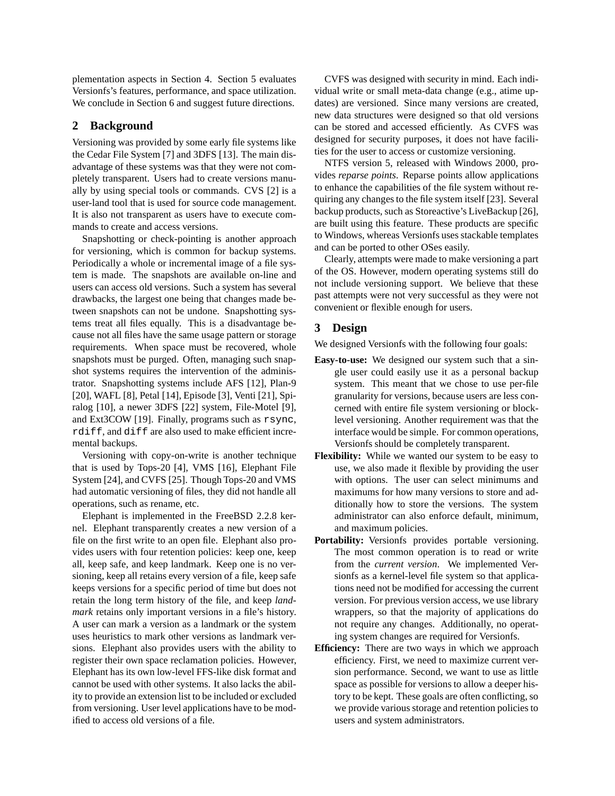plementation aspects in Section 4. Section 5 evaluates Versionfs's features, performance, and space utilization. We conclude in Section 6 and suggest future directions.

## **2 Background**

Versioning was provided by some early file systems like the Cedar File System [7] and 3DFS [13]. The main disadvantage of these systems was that they were not completely transparent. Users had to create versions manually by using special tools or commands. CVS [2] is a user-land tool that is used for source code management. It is also not transparent as users have to execute commands to create and access versions.

Snapshotting or check-pointing is another approach for versioning, which is common for backup systems. Periodically a whole or incremental image of a file system is made. The snapshots are available on-line and users can access old versions. Such a system has several drawbacks, the largest one being that changes made between snapshots can not be undone. Snapshotting systems treat all files equally. This is a disadvantage because not all files have the same usage pattern or storage requirements. When space must be recovered, whole snapshots must be purged. Often, managing such snapshot systems requires the intervention of the administrator. Snapshotting systems include AFS [12], Plan-9 [20], WAFL [8], Petal [14], Episode [3], Venti [21], Spiralog [10], a newer 3DFS [22] system, File-Motel [9], and Ext3COW [19]. Finally, programs such as rsync, rdiff, and diff are also used to make efficient incremental backups.

Versioning with copy-on-write is another technique that is used by Tops-20 [4], VMS [16], Elephant File System [24], and CVFS [25]. Though Tops-20 and VMS had automatic versioning of files, they did not handle all operations, such as rename, etc.

Elephant is implemented in the FreeBSD 2.2.8 kernel. Elephant transparently creates a new version of a file on the first write to an open file. Elephant also provides users with four retention policies: keep one, keep all, keep safe, and keep landmark. Keep one is no versioning, keep all retains every version of a file, keep safe keeps versions for a specific period of time but does not retain the long term history of the file, and keep *landmark* retains only important versions in a file's history. A user can mark a version as a landmark or the system uses heuristics to mark other versions as landmark versions. Elephant also provides users with the ability to register their own space reclamation policies. However, Elephant has its own low-level FFS-like disk format and cannot be used with other systems. It also lacks the ability to provide an extension list to be included or excluded from versioning. User level applications have to be modified to access old versions of a file.

CVFS was designed with security in mind. Each individual write or small meta-data change (e.g., atime updates) are versioned. Since many versions are created, new data structures were designed so that old versions can be stored and accessed efficiently. As CVFS was designed for security purposes, it does not have facilities for the user to access or customize versioning.

NTFS version 5, released with Windows 2000, provides *reparse points*. Reparse points allow applications to enhance the capabilities of the file system without requiring any changes to the file system itself [23]. Several backup products, such as Storeactive's LiveBackup [26], are built using this feature. These products are specific to Windows, whereas Versionfs uses stackable templates and can be ported to other OSes easily.

Clearly, attempts were made to make versioning a part of the OS. However, modern operating systems still do not include versioning support. We believe that these past attempts were not very successful as they were not convenient or flexible enough for users.

## **3 Design**

We designed Versionfs with the following four goals:

- **Easy-to-use:** We designed our system such that a single user could easily use it as a personal backup system. This meant that we chose to use per-file granularity for versions, because users are less concerned with entire file system versioning or blocklevel versioning. Another requirement was that the interface would be simple. For common operations, Versionfs should be completely transparent.
- **Flexibility:** While we wanted our system to be easy to use, we also made it flexible by providing the user with options. The user can select minimums and maximums for how many versions to store and additionally how to store the versions. The system administrator can also enforce default, minimum, and maximum policies.
- **Portability:** Versionfs provides portable versioning. The most common operation is to read or write from the *current version*. We implemented Versionfs as a kernel-level file system so that applications need not be modified for accessing the current version. For previous version access, we use library wrappers, so that the majority of applications do not require any changes. Additionally, no operating system changes are required for Versionfs.
- **Efficiency:** There are two ways in which we approach efficiency. First, we need to maximize current version performance. Second, we want to use as little space as possible for versions to allow a deeper history to be kept. These goals are often conflicting, so we provide various storage and retention policies to users and system administrators.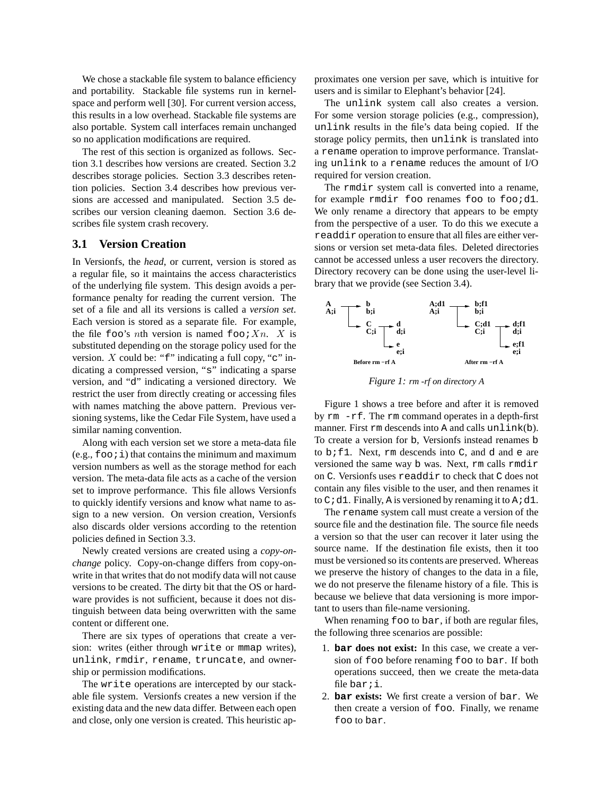We chose a stackable file system to balance efficiency and portability. Stackable file systems run in kernelspace and perform well [30]. For current version access, this results in a low overhead. Stackable file systems are also portable. System call interfaces remain unchanged so no application modifications are required.

The rest of this section is organized as follows. Section 3.1 describes how versions are created. Section 3.2 describes storage policies. Section 3.3 describes retention policies. Section 3.4 describes how previous versions are accessed and manipulated. Section 3.5 describes our version cleaning daemon. Section 3.6 describes file system crash recovery.

#### **3.1 Version Creation**

In Versionfs, the *head*, or current, version is stored as a regular file, so it maintains the access characteristics of the underlying file system. This design avoids a performance penalty for reading the current version. The set of a file and all its versions is called a *version set*. Each version is stored as a separate file. For example, the file foo's nth version is named foo:  $X_n$ . X is substituted depending on the storage policy used for the version.  $X$  could be: " $f$ " indicating a full copy, "c" indicating a compressed version, "s" indicating a sparse version, and "d" indicating a versioned directory. We restrict the user from directly creating or accessing files with names matching the above pattern. Previous versioning systems, like the Cedar File System, have used a similar naming convention.

Along with each version set we store a meta-data file  $(e.g., foo; i)$  that contains the minimum and maximum version numbers as well as the storage method for each version. The meta-data file acts as a cache of the version set to improve performance. This file allows Versionfs to quickly identify versions and know what name to assign to a new version. On version creation, Versionfs also discards older versions according to the retention policies defined in Section 3.3.

Newly created versions are created using a *copy-onchange* policy. Copy-on-change differs from copy-onwrite in that writes that do not modify data will not cause versions to be created. The dirty bit that the OS or hardware provides is not sufficient, because it does not distinguish between data being overwritten with the same content or different one.

There are six types of operations that create a version: writes (either through write or mmap writes), unlink, rmdir, rename, truncate, and ownership or permission modifications.

The write operations are intercepted by our stackable file system. Versionfs creates a new version if the existing data and the new data differ. Between each open and close, only one version is created. This heuristic approximates one version per save, which is intuitive for users and is similar to Elephant's behavior [24].

The unlink system call also creates a version. For some version storage policies (e.g., compression), unlink results in the file's data being copied. If the storage policy permits, then unlink is translated into a rename operation to improve performance. Translating unlink to a rename reduces the amount of I/O required for version creation.

The rmdir system call is converted into a rename, for example rmdir foo renames foo to foo;d1. We only rename a directory that appears to be empty from the perspective of a user. To do this we execute a readdir operation to ensure that all files are either versions or version set meta-data files. Deleted directories cannot be accessed unless a user recovers the directory. Directory recovery can be done using the user-level library that we provide (see Section 3.4).



*Figure 1: rm -rf on directory A*

Figure 1 shows a tree before and after it is removed by rm -rf. The rm command operates in a depth-first manner. First rm descends into A and calls unlink(b). To create a version for b, Versionfs instead renames b to  $b$ ; f1. Next,  $rm$  descends into  $C$ , and  $d$  and  $e$  are versioned the same way b was. Next, rm calls rmdir on C. Versionfs uses readdir to check that C does not contain any files visible to the user, and then renames it to  $C$  *i* d1. Finally, A is versioned by renaming it to A *i* d1.

The rename system call must create a version of the source file and the destination file. The source file needs a version so that the user can recover it later using the source name. If the destination file exists, then it too must be versioned so its contents are preserved. Whereas we preserve the history of changes to the data in a file, we do not preserve the filename history of a file. This is because we believe that data versioning is more important to users than file-name versioning.

When renaming foo to bar, if both are regular files, the following three scenarios are possible:

- 1. **bar does not exist:** In this case, we create a version of foo before renaming foo to bar. If both operations succeed, then we create the meta-data file bar; i.
- 2. **bar exists:** We first create a version of bar. We then create a version of foo. Finally, we rename foo to bar.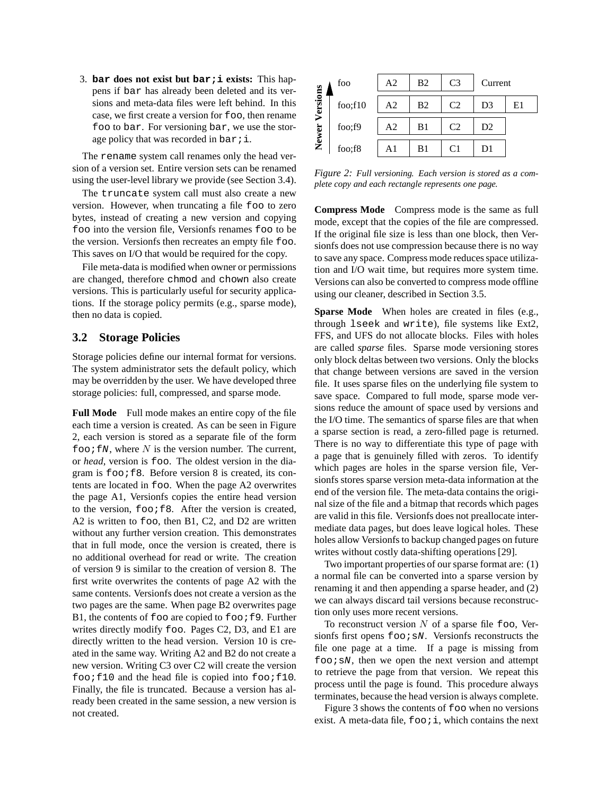3. **bar does not exist but bar;i exists:** This happens if bar has already been deleted and its versions and meta-data files were left behind. In this case, we first create a version for foo, then rename foo to bar. For versioning bar, we use the storage policy that was recorded in bar;  $i$ .

The rename system call renames only the head version of a version set. Entire version sets can be renamed using the user-level library we provide (see Section 3.4).

The truncate system call must also create a new version. However, when truncating a file foo to zero bytes, instead of creating a new version and copying foo into the version file, Versionfs renames foo to be the version. Versionfs then recreates an empty file foo. This saves on I/O that would be required for the copy.

File meta-data is modified when owner or permissions are changed, therefore chmod and chown also create versions. This is particularly useful for security applications. If the storage policy permits (e.g., sparse mode), then no data is copied.

## **3.2 Storage Policies**

Storage policies define our internal format for versions. The system administrator sets the default policy, which may be overridden by the user. We have developed three storage policies: full, compressed, and sparse mode.

**Full Mode** Full mode makes an entire copy of the file each time a version is created. As can be seen in Figure 2, each version is stored as a separate file of the form foo;  $fN$ , where N is the version number. The current, or *head*, version is foo. The oldest version in the diagram is  $f \circ \circ i f$ 8. Before version 8 is created, its contents are located in foo. When the page A2 overwrites the page A1, Versionfs copies the entire head version to the version,  $f \circ \circ f8$ . After the version is created, A2 is written to foo, then B1, C2, and D2 are written without any further version creation. This demonstrates that in full mode, once the version is created, there is no additional overhead for read or write. The creation of version 9 is similar to the creation of version 8. The first write overwrites the contents of page A2 with the same contents. Versionfs does not create a version as the two pages are the same. When page B2 overwrites page B1, the contents of  $f$  are copied to  $f$  oo  $f$   $f$   $9$ . Further writes directly modify foo. Pages C2, D3, and E1 are directly written to the head version. Version 10 is created in the same way. Writing A2 and B2 do not create a new version. Writing C3 over C2 will create the version  $foo$ ; $f10$  and the head file is copied into  $foo$ ; $f10$ . Finally, the file is truncated. Because a version has already been created in the same session, a new version is not created.

|          | foo     | A2 | B <sub>2</sub> | C <sub>3</sub> | Current        |    |
|----------|---------|----|----------------|----------------|----------------|----|
| Versions | foo;f10 | A2 | Β2             | C2             | D3             | E1 |
| Newer    | foo;f9  | A2 | B1             | C2             | D <sub>2</sub> |    |
|          | foo;f8  | A1 | B1             | C1             | DI             |    |

*Figure 2: Full versioning. Each version is stored as a complete copy and each rectangle represents one page.*

**Compress Mode** Compress mode is the same as full mode, except that the copies of the file are compressed. If the original file size is less than one block, then Versionfs does not use compression because there is no way to save any space. Compress mode reduces space utilization and I/O wait time, but requires more system time. Versions can also be converted to compress mode offline using our cleaner, described in Section 3.5.

**Sparse Mode** When holes are created in files (e.g., through lseek and write), file systems like Ext2, FFS, and UFS do not allocate blocks. Files with holes are called *sparse* files. Sparse mode versioning stores only block deltas between two versions. Only the blocks that change between versions are saved in the version file. It uses sparse files on the underlying file system to save space. Compared to full mode, sparse mode versions reduce the amount of space used by versions and the I/O time. The semantics of sparse files are that when a sparse section is read, a zero-filled page is returned. There is no way to differentiate this type of page with a page that is genuinely filled with zeros. To identify which pages are holes in the sparse version file, Versionfs stores sparse version meta-data information at the end of the version file. The meta-data contains the original size of the file and a bitmap that records which pages are valid in this file. Versionfs does not preallocate intermediate data pages, but does leave logical holes. These holes allow Versionfs to backup changed pages on future writes without costly data-shifting operations [29].

Two important properties of our sparse format are: (1) a normal file can be converted into a sparse version by renaming it and then appending a sparse header, and (2) we can always discard tail versions because reconstruction only uses more recent versions.

To reconstruct version  $N$  of a sparse file foo, Versionfs first opens  $f \circ \circ i$  sN. Versionfs reconstructs the file one page at a time. If a page is missing from  $f \circ \circ i$  sN, then we open the next version and attempt to retrieve the page from that version. We repeat this process until the page is found. This procedure always terminates, because the head version is always complete.

Figure 3 shows the contents of foo when no versions exist. A meta-data file,  $f \circ \circ i$ , which contains the next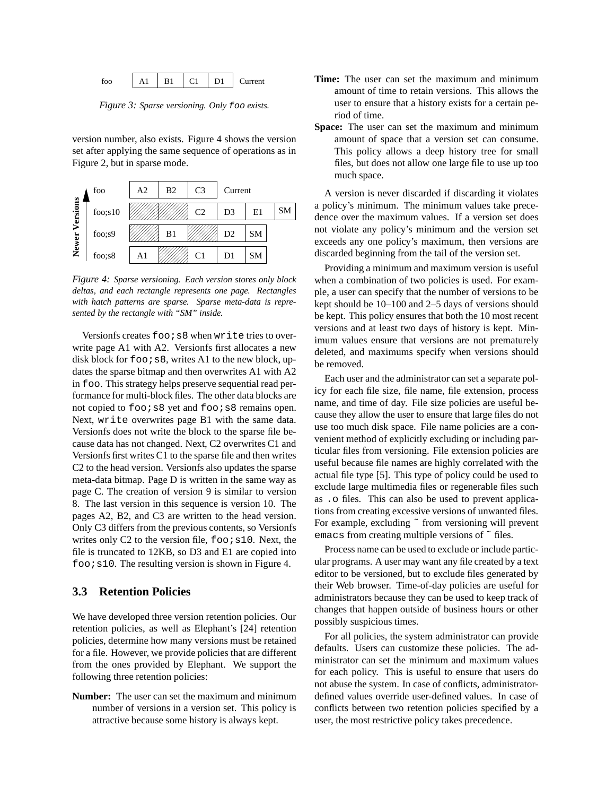

*Figure 3: Sparse versioning. Only* foo *exists.*

version number, also exists. Figure 4 shows the version set after applying the same sequence of operations as in Figure 2, but in sparse mode.



*Figure 4: Sparse versioning. Each version stores only block deltas, and each rectangle represents one page. Rectangles with hatch patterns are sparse. Sparse meta-data is represented by the rectangle with "SM" inside.*

Versionfs creates foo; s8 when write tries to overwrite page A1 with A2. Versionfs first allocates a new disk block for  $f \circ \circ i$  s8, writes A1 to the new block, updates the sparse bitmap and then overwrites A1 with A2 in foo. This strategy helps preserve sequential read performance for multi-block files. The other data blocks are not copied to foo; s8 yet and foo; s8 remains open. Next, write overwrites page B1 with the same data. Versionfs does not write the block to the sparse file because data has not changed. Next, C2 overwrites C1 and Versionfs first writes C1 to the sparse file and then writes C2 to the head version. Versionfs also updates the sparse meta-data bitmap. Page D is written in the same way as page C. The creation of version 9 is similar to version 8. The last version in this sequence is version 10. The pages A2, B2, and C3 are written to the head version. Only C3 differs from the previous contents, so Versionfs writes only C2 to the version file,  $f \circ \circ i$  s10. Next, the file is truncated to 12KB, so D3 and E1 are copied into  $foo$  is 10. The resulting version is shown in Figure 4.

## **3.3 Retention Policies**

We have developed three version retention policies. Our retention policies, as well as Elephant's [24] retention policies, determine how many versions must be retained for a file. However, we provide policies that are different from the ones provided by Elephant. We support the following three retention policies:

**Number:** The user can set the maximum and minimum number of versions in a version set. This policy is attractive because some history is always kept.

- **Time:** The user can set the maximum and minimum amount of time to retain versions. This allows the user to ensure that a history exists for a certain period of time.
- **Space:** The user can set the maximum and minimum amount of space that a version set can consume. This policy allows a deep history tree for small files, but does not allow one large file to use up too much space.

 dence over the maximum values. If a version set does a policy's minimum. The minimum values take prece exceeds any one policy's maximum, then versions are not violate any policy's minimum and the version set A version is never discarded if discarding it violates discarded beginning from the tail of the version set.

Providing a minimum and maximum version is useful when a combination of two policies is used. For example, a user can specify that the number of versions to be kept should be 10–100 and 2–5 days of versions should be kept. This policy ensures that both the 10 most recent versions and at least two days of history is kept. Minimum values ensure that versions are not prematurely deleted, and maximums specify when versions should be removed.

Each user and the administrator can set a separate policy for each file size, file name, file extension, process name, and time of day. File size policies are useful because they allow the user to ensure that large files do not use too much disk space. File name policies are a convenient method of explicitly excluding or including particular files from versioning. File extension policies are useful because file names are highly correlated with the actual file type [5]. This type of policy could be used to exclude large multimedia files or regenerable files such as .o files. This can also be used to prevent applications from creating excessive versions of unwanted files. For example, excluding  $\tilde{ }$  from versioning will prevent emacs from creating multiple versions of  $\tilde{ }$  files.

Process name can be used to exclude or include particular programs. A user may want any file created by a text editor to be versioned, but to exclude files generated by their Web browser. Time-of-day policies are useful for administrators because they can be used to keep track of changes that happen outside of business hours or other possibly suspicious times.

For all policies, the system administrator can provide defaults. Users can customize these policies. The administrator can set the minimum and maximum values for each policy. This is useful to ensure that users do not abuse the system. In case of conflicts, administratordefined values override user-defined values. In case of conflicts between two retention policies specified by a user, the most restrictive policy takes precedence.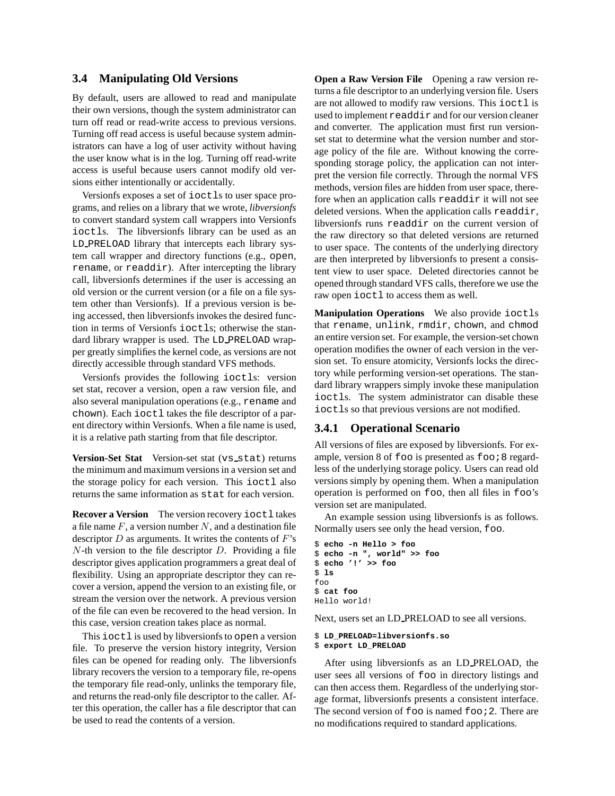## **3.4 Manipulating Old Versions**

By default, users are allowed to read and manipulate their own versions, though the system administrator can turn off read or read-write access to previous versions. Turning off read access is useful because system administrators can have a log of user activity without having the user know what is in the log. Turning off read-write access is useful because users cannot modify old versions either intentionally or accidentally.

Versionfs exposes a set of ioctls to user space programs, and relies on a library that we wrote, *libversionfs* to convert standard system call wrappers into Versionfs ioctls. The libversionfs library can be used as an LD PRELOAD library that intercepts each library system call wrapper and directory functions (e.g., open, rename, or readdir). After intercepting the library call, libversionfs determines if the user is accessing an old version or the current version (or a file on a file system other than Versionfs). If a previous version is being accessed, then libversionfs invokes the desired function in terms of Versionfs ioctls; otherwise the standard library wrapper is used. The LD\_PRELOAD wrapper greatly simplifies the kernel code, as versions are not directly accessible through standard VFS methods.

Versionfs provides the following ioctls: version set stat, recover a version, open a raw version file, and also several manipulation operations (e.g., rename and chown). Each ioctl takes the file descriptor of a parent directory within Versionfs. When a file name is used, it is a relative path starting from that file descriptor.

**Version-Set Stat** Version-set stat (vs\_stat) returns the minimum and maximum versionsin a version set and the storage policy for each version. This ioctl also returns the same information as stat for each version.

**Recover a Version** The version recovery ioctl takes a file name  $F$ , a version number  $N$ , and a destination file descriptor  $D$  as arguments. It writes the contents of  $F$ 's  $N$ -th version to the file descriptor  $D$ . Providing a file descriptor gives application programmers a great deal of flexibility. Using an appropriate descriptor they can recover a version, append the version to an existing file, or stream the version over the network. A previous version of the file can even be recovered to the head version. In this case, version creation takes place as normal.

This ioctl is used by libversionfsto open a version file. To preserve the version history integrity, Version files can be opened for reading only. The libversionfs library recovers the version to a temporary file, re-opens the temporary file read-only, unlinks the temporary file, and returns the read-only file descriptor to the caller. After this operation, the caller has a file descriptor that can be used to read the contents of a version.

**Open a Raw Version File** Opening a raw version returns a file descriptor to an underlying version file. Users are not allowed to modify raw versions. This ioctl is used to implement readdir and for our version cleaner and converter. The application must first run versionset stat to determine what the version number and storage policy of the file are. Without knowing the corresponding storage policy, the application can not interpret the version file correctly. Through the normal VFS methods, version files are hidden from user space, therefore when an application calls readdir it will not see deleted versions. When the application calls readdir, libversionfs runs readdir on the current version of the raw directory so that deleted versions are returned to user space. The contents of the underlying directory are then interpreted by libversionfs to present a consistent view to user space. Deleted directories cannot be opened through standard VFS calls, therefore we use the raw open ioctl to access them as well.

**Manipulation Operations** We also provide ioctls that rename, unlink, rmdir, chown, and chmod an entire version set. For example, the version-set chown operation modifies the owner of each version in the version set. To ensure atomicity, Versionfs locks the directory while performing version-set operations. The standard library wrappers simply invoke these manipulation ioctls. The system administrator can disable these ioctls so that previous versions are not modified.

## **3.4.1 Operational Scenario**

All versions of files are exposed by libversionfs. For example, version 8 of foo is presented as foo : 8 regardless of the underlying storage policy. Users can read old versions simply by opening them. When a manipulation operation is performed on foo, then all files in foo's version set are manipulated.

An example session using libversionfs is as follows. Normally users see only the head version, foo.

```
$ echo -n Hello > foo
$ echo -n ", world" >> foo
$ echo '!' >> foo
$ ls
foo
$ cat foo
Hello world!
```
Next, users set an LD PRELOAD to see all versions.

#### \$ **LD\_PRELOAD=libversionfs.so** \$ **export LD\_PRELOAD**

After using libversionfs as an LD PRELOAD, the user sees all versions of foo in directory listings and can then access them. Regardless of the underlying storage format, libversionfs presents a consistent interface. The second version of foo is named foo *i* 2. There are no modifications required to standard applications.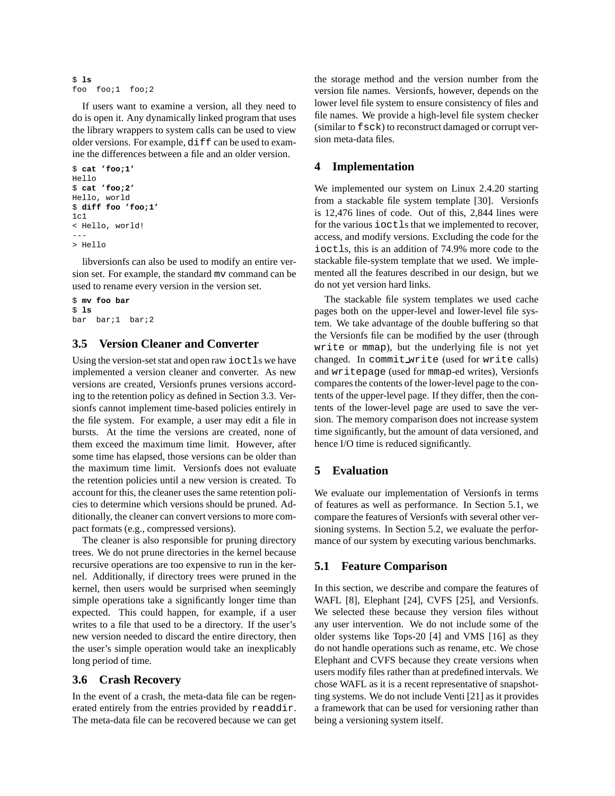```
$ ls
foo foo;1 foo;2
```
If users want to examine a version, all they need to do is open it. Any dynamically linked program that uses the library wrappers to system calls can be used to view older versions. For example, diff can be used to examine the differences between a file and an older version.

```
$ cat 'foo;1'
Hello
$ cat 'foo;2'
Hello, world
$ diff foo 'foo;1'
1c1< Hello, world!
---
> Hello
```
libversionfs can also be used to modify an entire version set. For example, the standard mv command can be used to rename every version in the version set.

```
$ mv foo bar
$ ls
bar bar;1 bar;2
```
## **3.5 Version Cleaner and Converter**

Using the version-setstat and open raw ioctls we have implemented a version cleaner and converter. As new versions are created, Versionfs prunes versions according to the retention policy as defined in Section 3.3. Versionfs cannot implement time-based policies entirely in the file system. For example, a user may edit a file in bursts. At the time the versions are created, none of them exceed the maximum time limit. However, after some time has elapsed, those versions can be older than the maximum time limit. Versionfs does not evaluate the retention policies until a new version is created. To account for this, the cleaner uses the same retention policies to determine which versions should be pruned. Additionally, the cleaner can convert versions to more compact formats (e.g., compressed versions).

The cleaner is also responsible for pruning directory trees. We do not prune directories in the kernel because recursive operations are too expensive to run in the kernel. Additionally, if directory trees were pruned in the kernel, then users would be surprised when seemingly simple operations take a significantly longer time than expected. This could happen, for example, if a user writes to a file that used to be a directory. If the user's new version needed to discard the entire directory, then the user's simple operation would take an inexplicably long period of time.

## **3.6 Crash Recovery**

In the event of a crash, the meta-data file can be regenerated entirely from the entries provided by readdir. The meta-data file can be recovered because we can get the storage method and the version number from the version file names. Versionfs, however, depends on the lower level file system to ensure consistency of files and file names. We provide a high-level file system checker (similar to fsck) to reconstruct damaged or corrupt version meta-data files.

## **4 Implementation**

We implemented our system on Linux 2.4.20 starting from a stackable file system template [30]. Versionfs is 12,476 lines of code. Out of this, 2,844 lines were for the various ioctls that we implemented to recover, access, and modify versions. Excluding the code for the ioctls, this is an addition of 74.9% more code to the stackable file-system template that we used. We implemented all the features described in our design, but we do not yet version hard links.

The stackable file system templates we used cache pages both on the upper-level and lower-level file system. We take advantage of the double buffering so that the Versionfs file can be modified by the user (through write or mmap), but the underlying file is not yet changed. In commit write (used for write calls) and writepage (used for mmap-ed writes), Versionfs compares the contents of the lower-level page to the contents of the upper-level page. If they differ, then the contents of the lower-level page are used to save the version. The memory comparison does not increase system time significantly, but the amount of data versioned, and hence I/O time is reduced significantly.

## **5 Evaluation**

We evaluate our implementation of Versionfs in terms of features as well as performance. In Section 5.1, we compare the features of Versionfs with several other versioning systems. In Section 5.2, we evaluate the performance of our system by executing various benchmarks.

## **5.1 Feature Comparison**

In this section, we describe and compare the features of WAFL [8], Elephant [24], CVFS [25], and Versionfs. We selected these because they version files without any user intervention. We do not include some of the older systems like Tops-20 [4] and VMS [16] as they do not handle operations such as rename, etc. We chose Elephant and CVFS because they create versions when users modify files rather than at predefined intervals. We chose WAFL as it is a recent representative of snapshotting systems. We do not include Venti [21] as it provides a framework that can be used for versioning rather than being a versioning system itself.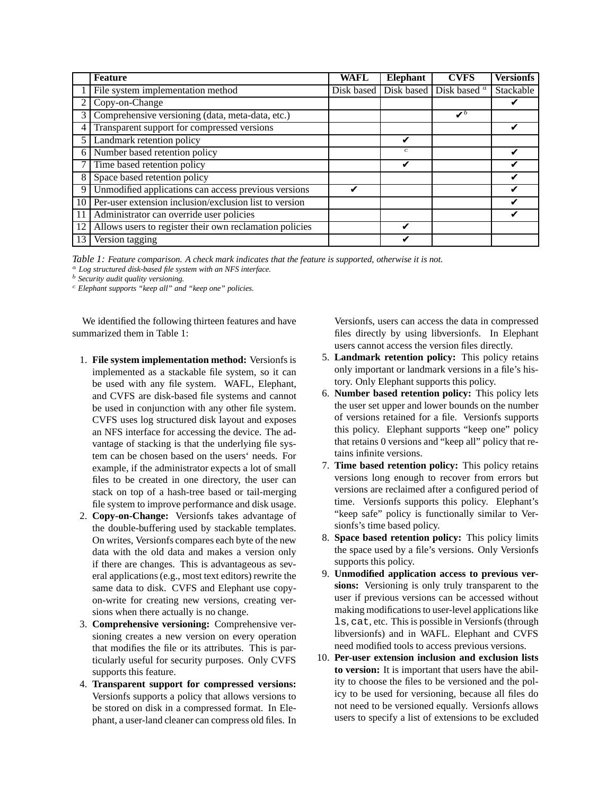|    | <b>Feature</b>                                          | <b>WAFL</b> | Elephant         | <b>CVFS</b>                                   | <b>Versionfs</b> |
|----|---------------------------------------------------------|-------------|------------------|-----------------------------------------------|------------------|
|    | File system implementation method                       |             |                  | Disk based Disk based Disk based <sup>a</sup> | Stackable        |
| 2  | Copy-on-Change                                          |             |                  |                                               |                  |
| 3  | Comprehensive versioning (data, meta-data, etc.)        |             |                  | $\boldsymbol{v}^{\prime}$                     |                  |
| 4  | Transparent support for compressed versions             |             |                  |                                               |                  |
|    | Landmark retention policy                               |             |                  |                                               |                  |
| 6  | Number based retention policy                           |             | $\boldsymbol{c}$ |                                               |                  |
|    | Time based retention policy                             |             |                  |                                               |                  |
| 8  | Space based retention policy                            |             |                  |                                               |                  |
| 9  | Unmodified applications can access previous versions    |             |                  |                                               |                  |
| 10 | Per-user extension inclusion/exclusion list to version  |             |                  |                                               |                  |
| 11 | Administrator can override user policies                |             |                  |                                               |                  |
| 12 | Allows users to register their own reclamation policies |             |                  |                                               |                  |
| 13 | Version tagging                                         |             |                  |                                               |                  |

*Table 1: Feature comparison. A check mark indicates that the feature is supported, otherwise it is not.*

<sup>a</sup> *Log structured disk-based file system with an NFS interface.*

<sup>b</sup> *Security audit quality versioning.*

<sup>c</sup> *Elephant supports "keep all" and "keep one" policies.*

We identified the following thirteen features and have summarized them in Table 1:

- 1. **File system implementation method:** Versionfs is implemented as a stackable file system, so it can be used with any file system. WAFL, Elephant, and CVFS are disk-based file systems and cannot be used in conjunction with any other file system. CVFS uses log structured disk layout and exposes an NFS interface for accessing the device. The advantage of stacking is that the underlying file system can be chosen based on the users' needs. For example, if the administrator expects a lot of small files to be created in one directory, the user can stack on top of a hash-tree based or tail-merging file system to improve performance and disk usage.
- 2. **Copy-on-Change:** Versionfs takes advantage of the double-buffering used by stackable templates. On writes, Versionfs compares each byte of the new data with the old data and makes a version only if there are changes. This is advantageous as several applications (e.g., most text editors) rewrite the same data to disk. CVFS and Elephant use copyon-write for creating new versions, creating versions when there actually is no change.
- 3. **Comprehensive versioning:** Comprehensive versioning creates a new version on every operation that modifies the file or its attributes. This is particularly useful for security purposes. Only CVFS supports this feature.
- 4. **Transparent support for compressed versions:** Versionfs supports a policy that allows versions to be stored on disk in a compressed format. In Elephant, a user-land cleaner can compress old files. In

Versionfs, users can access the data in compressed files directly by using libversionfs. In Elephant users cannot access the version files directly.

- 5. **Landmark retention policy:** This policy retains only important or landmark versions in a file's history. Only Elephant supports this policy.
- 6. **Number based retention policy:** This policy lets the user set upper and lower bounds on the number of versions retained for a file. Versionfs supports this policy. Elephant supports "keep one" policy that retains 0 versions and "keep all" policy that retains infinite versions.
- 7. **Time based retention policy:** This policy retains versions long enough to recover from errors but versions are reclaimed after a configured period of time. Versionfs supports this policy. Elephant's "keep safe" policy is functionally similar to Versionfs's time based policy.
- 8. **Space based retention policy:** This policy limits the space used by a file's versions. Only Versionfs supports this policy.
- 9. **Unmodified application access to previous versions:** Versioning is only truly transparent to the user if previous versions can be accessed without making modifications to user-level applications like ls, cat, etc. This is possible in Versionfs (through libversionfs) and in WAFL. Elephant and CVFS need modified tools to access previous versions.
- 10. **Per-user extension inclusion and exclusion lists to version:** It is important that users have the ability to choose the files to be versioned and the policy to be used for versioning, because all files do not need to be versioned equally. Versionfs allows users to specify a list of extensions to be excluded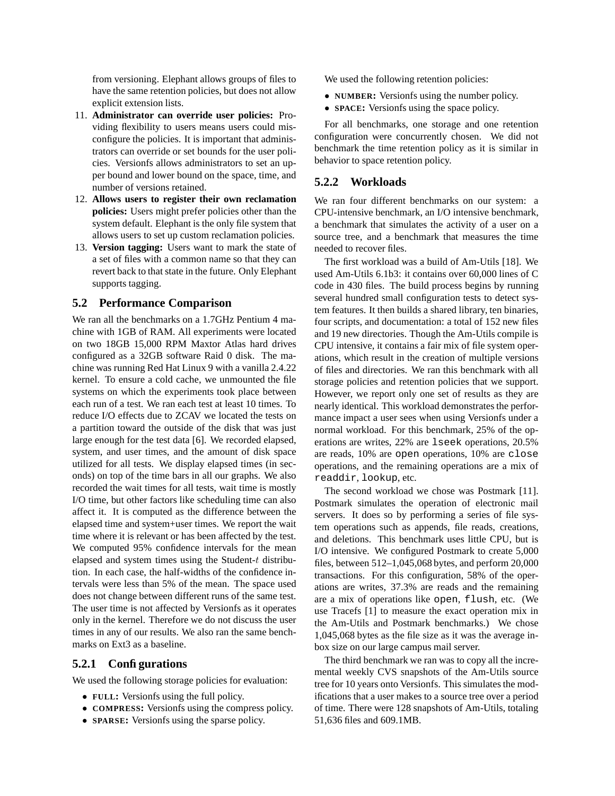from versioning. Elephant allows groups of files to have the same retention policies, but does not allow explicit extension lists.

- 11. **Administrator can override user policies:** Providing flexibility to users means users could misconfigure the policies. It is important that administrators can override or set bounds for the user policies. Versionfs allows administrators to set an upper bound and lower bound on the space, time, and number of versions retained.
- 12. **Allows users to register their own reclamation policies:** Users might prefer policies other than the system default. Elephant is the only file system that allows users to set up custom reclamation policies.
- 13. **Version tagging:** Users want to mark the state of a set of files with a common name so that they can revert back to that state in the future. Only Elephant supports tagging.

## **5.2 Performance Comparison**

We ran all the benchmarks on a 1.7GHz Pentium 4 machine with 1GB of RAM. All experiments were located on two 18GB 15,000 RPM Maxtor Atlas hard drives configured as a 32GB software Raid 0 disk. The machine was running Red Hat Linux 9 with a vanilla 2.4.22 kernel. To ensure a cold cache, we unmounted the file systems on which the experiments took place between each run of a test. We ran each test at least 10 times. To reduce I/O effects due to ZCAV we located the tests on a partition toward the outside of the disk that was just large enough for the test data [6]. We recorded elapsed, system, and user times, and the amount of disk space utilized for all tests. We display elapsed times (in seconds) on top of the time bars in all our graphs. We also recorded the wait times for all tests, wait time is mostly I/O time, but other factors like scheduling time can also affect it. It is computed as the difference between the elapsed time and system+user times. We report the wait time where it is relevant or has been affected by the test. We computed 95% confidence intervals for the mean elapsed and system times using the Student-t distribution. In each case, the half-widths of the confidence intervals were less than 5% of the mean. The space used does not change between different runs of the same test. The user time is not affected by Versionfs as it operates only in the kernel. Therefore we do not discuss the user times in any of our results. We also ran the same benchmarks on Ext3 as a baseline.

## **5.2.1 Configurations**

We used the following storage policies for evaluation:

- **FULL:** Versionfs using the full policy.
- **COMPRESS:** Versionfs using the compress policy.
- **SPARSE:** Versionfs using the sparse policy.

We used the following retention policies:

- **NUMBER:** Versionfs using the number policy.
- **SPACE:** Versionfs using the space policy.

For all benchmarks, one storage and one retention configuration were concurrently chosen. We did not benchmark the time retention policy as it is similar in behavior to space retention policy.

#### **5.2.2 Workloads**

We ran four different benchmarks on our system: a CPU-intensive benchmark, an I/O intensive benchmark, a benchmark that simulates the activity of a user on a source tree, and a benchmark that measures the time needed to recover files.

The first workload was a build of Am-Utils [18]. We used Am-Utils 6.1b3: it contains over 60,000 lines of C code in 430 files. The build process begins by running several hundred small configuration tests to detect system features. It then builds a shared library, ten binaries, four scripts, and documentation: a total of 152 new files and 19 new directories. Though the Am-Utils compile is CPU intensive, it contains a fair mix of file system operations, which result in the creation of multiple versions of files and directories. We ran this benchmark with all storage policies and retention policies that we support. However, we report only one set of results as they are nearly identical. This workload demonstrates the performance impact a user sees when using Versionfs under a normal workload. For this benchmark, 25% of the operations are writes, 22% are lseek operations, 20.5% are reads, 10% are open operations, 10% are close operations, and the remaining operations are a mix of readdir, lookup, etc.

The second workload we chose was Postmark [11]. Postmark simulates the operation of electronic mail servers. It does so by performing a series of file system operations such as appends, file reads, creations, and deletions. This benchmark uses little CPU, but is I/O intensive. We configured Postmark to create 5,000 files, between 512–1,045,068 bytes, and perform 20,000 transactions. For this configuration, 58% of the operations are writes, 37.3% are reads and the remaining are a mix of operations like open, flush, etc. (We use Tracefs [1] to measure the exact operation mix in the Am-Utils and Postmark benchmarks.) We chose 1,045,068 bytes as the file size as it was the average inbox size on our large campus mail server.

The third benchmark we ran was to copy all the incremental weekly CVS snapshots of the Am-Utils source tree for 10 years onto Versionfs. This simulates the modifications that a user makes to a source tree over a period of time. There were 128 snapshots of Am-Utils, totaling 51,636 files and 609.1MB.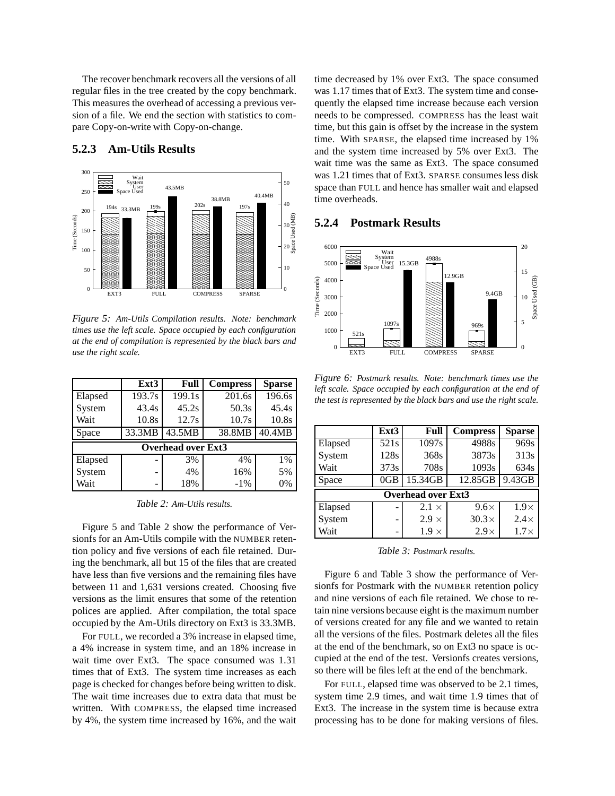The recover benchmark recovers all the versions of all regular files in the tree created by the copy benchmark. This measures the overhead of accessing a previous version of a file. We end the section with statistics to compare Copy-on-write with Copy-on-change.

#### 300 Wait System User Space Used  $50$ --43.5MB  $\frac{194s}{194s}$  33.3MB<br>  $\frac{199s}{191s}$ <br>  $\frac{194s}{191s}$  33.3MB<br>  $\frac{199s}{191s}$ <br>  $\frac{191s}{191s}$ <br>  $\frac{191s}{191s}$ <br>  $\frac{191s}{191s}$ <br>  $\frac{191s}{191s}$ <br>  $\frac{191s}{191s}$ <br>  $\frac{191s}{191s}$ <br>  $\frac{191s}{191s}$ <br>  $\frac{191s}{191s}$ <br>  $\frac$ 250 40.4MB 38.8MB 202s 40 33.3ME 197s 200 <u>Lie kaar de s</u> Space Used (MB)  $\frac{1}{\sqrt{2}}$ Time (Seconds) Time (Seconds) \_\_ . . 30 150 . .  $-20\frac{3}{5}$ <br> $-10$ <br> $-10$ <br> $\frac{5000}{5}$ <br> $+4000$  $\begin{array}{r} 35 \ 20 \frac{3}{24} \end{array}$  6000<br> $\begin{array}{r} -20 \frac{3}{24} \end{array}$  6000<br> $\begin{array}{r} 5000 \end{array}$  5000<br> $\begin{array}{r} 5000 \end{array}$ . . . . . . . . 20 . . . 100 . . . . . . . . . . . . 10 50 . . . . . . . . . . . .  $\Omega$ . . .  $\boldsymbol{0}$ EXT3 FULL COMPRESS SPARSE

## **5.2.3 Am-Utils Results**

*Figure 5: Am-Utils Compilation results. Note: benchmark times use the left scale. Space occupied by each configuration at the end of compilation is represented by the black bars and use the right scale.*

|                           | Ext <sub>3</sub> | Full                | <b>Compress</b> | <b>Sparse</b> |  |  |  |  |
|---------------------------|------------------|---------------------|-----------------|---------------|--|--|--|--|
| Elapsed                   | 193.7s           | $\overline{1}99.1s$ | 201.6s          | 196.6s        |  |  |  |  |
| System                    | 43.4s            | 45.2s               | 50.3s           | 45.4s         |  |  |  |  |
| Wait                      | 10.8s            | 12.7s               | 10.7s           | 10.8s         |  |  |  |  |
| Space                     | 33.3MB           | 43.5MB              | 38.8MB          | 40.4MB        |  |  |  |  |
| <b>Overhead over Ext3</b> |                  |                     |                 |               |  |  |  |  |
| Elapsed                   | ۰                | 3%                  | 4%              | 1%            |  |  |  |  |
| System                    | -                | 4%                  | 16%             | 5%            |  |  |  |  |
| Wait                      | -                | 18%                 | $-1\%$          | 0%            |  |  |  |  |

*Table 2: Am-Utils results.*

Figure 5 and Table 2 show the performance of Versionfs for an Am-Utils compile with the NUMBER retention policy and five versions of each file retained. During the benchmark, all but 15 of the files that are created have less than five versions and the remaining files have between 11 and 1,631 versions created. Choosing five versions as the limit ensures that some of the retention polices are applied. After compilation, the total space occupied by the Am-Utils directory on Ext3 is 33.3MB.

For FULL, we recorded a 3% increase in elapsed time, a 4% increase in system time, and an 18% increase in wait time over Ext3. The space consumed was 1.31 times that of Ext3. The system time increases as each page is checked for changes before being written to disk. The wait time increases due to extra data that must be written. With COMPRESS, the elapsed time increased by 4%, the system time increased by 16%, and the wait time decreased by 1% over Ext3. The space consumed was 1.17 times that of Ext3. The system time and consequently the elapsed time increase because each version needs to be compressed. COMPRESS has the least wait time, but this gain is offset by the increase in the system time. With SPARSE, the elapsed time increased by 1% and the system time increased by 5% over Ext3. The wait time was the same as Ext3. The space consumed was 1.21 times that of Ext3. SPARSE consumes less disk space than FULL and hence has smaller wait and elapsed time overheads.

## **5.2.4 Postmark Results**



*Figure 6: Postmark results. Note: benchmark times use the left scale. Space occupied by each configuration at the end of the test is represented by the black bars and use the right scale.*

|                           | Ext <sub>3</sub> | Full         | <b>Compress</b> | <b>Sparse</b> |  |  |  |  |
|---------------------------|------------------|--------------|-----------------|---------------|--|--|--|--|
| Elapsed                   | 521s             | 1097s        | 4988s           | 969s          |  |  |  |  |
| System                    | 128s             | 368s         | 3873s           | 313s          |  |  |  |  |
| Wait                      | 373s             | 708s         | 1093s           | 634s          |  |  |  |  |
| Space                     | 0GB              | 15.34GB      | 12.85GB         | 9.43GB        |  |  |  |  |
| <b>Overhead over Ext3</b> |                  |              |                 |               |  |  |  |  |
| Elapsed                   |                  | $2.1 \times$ | $9.6\times$     | $1.9\times$   |  |  |  |  |
| System                    | ۰                | $2.9 \times$ | $30.3\times$    | $2.4\times$   |  |  |  |  |
| Wait                      | ۰                | $1.9 \times$ | $2.9\times$     | $1.7\times$   |  |  |  |  |

*Table 3: Postmark results.*

Figure 6 and Table 3 show the performance of Versionfs for Postmark with the NUMBER retention policy and nine versions of each file retained. We chose to retain nine versions because eight is the maximum number of versions created for any file and we wanted to retain all the versions of the files. Postmark deletes all the files at the end of the benchmark, so on Ext3 no space is occupied at the end of the test. Versionfs creates versions, so there will be files left at the end of the benchmark.

For FULL, elapsed time was observed to be 2.1 times, system time 2.9 times, and wait time 1.9 times that of Ext3. The increase in the system time is because extra processing has to be done for making versions of files.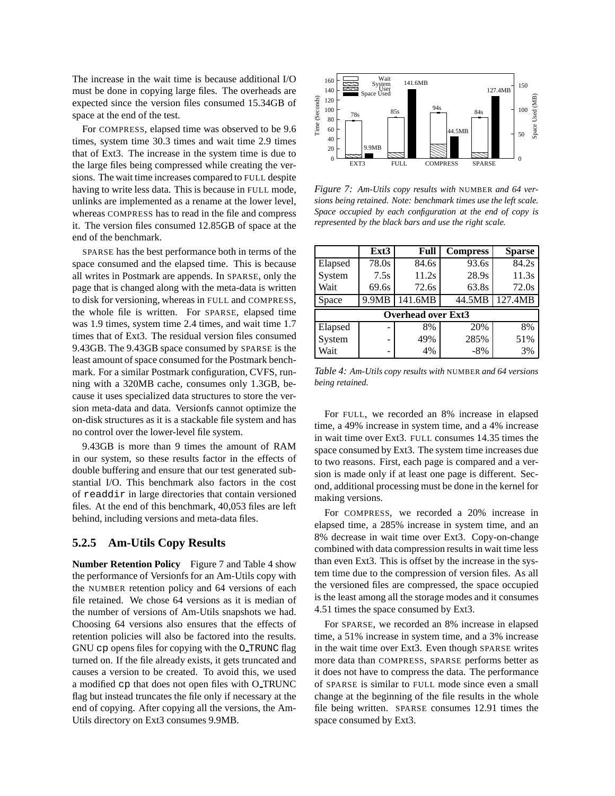The increase in the wait time is because additional I/O must be done in copying large files. The overheads are expected since the version files consumed 15.34GB of space at the end of the test.

For COMPRESS, elapsed time was observed to be 9.6 times, system time 30.3 times and wait time 2.9 times that of Ext3. The increase in the system time is due to the large files being compressed while creating the versions. The wait time increases compared to FULL despite having to write less data. This is because in FULL mode, unlinks are implemented as a rename at the lower level, whereas COMPRESS has to read in the file and compress it. The version files consumed 12.85GB of space at the end of the benchmark.

SPARSE has the best performance both in terms of the space consumed and the elapsed time. This is because all writes in Postmark are appends. In SPARSE, only the page that is changed along with the meta-data is written to disk for versioning, whereas in FULL and COMPRESS, the whole file is written. For SPARSE, elapsed time was 1.9 times, system time 2.4 times, and wait time 1.7 times that of Ext3. The residual version files consumed 9.43GB. The 9.43GB space consumed by SPARSE is the least amount of space consumed for the Postmark benchmark. For a similar Postmark configuration, CVFS, running with a 320MB cache, consumes only 1.3GB, because it uses specialized data structures to store the version meta-data and data. Versionfs cannot optimize the on-disk structures as it is a stackable file system and has no control over the lower-level file system.

9.43GB is more than 9 times the amount of RAM in our system, so these results factor in the effects of double buffering and ensure that our test generated substantial I/O. This benchmark also factors in the cost of readdir in large directories that contain versioned files. At the end of this benchmark, 40,053 files are left behind, including versions and meta-data files.

#### **5.2.5 Am-Utils Copy Results**

**Number Retention Policy** Figure 7 and Table 4 show the performance of Versionfs for an Am-Utils copy with the NUMBER retention policy and 64 versions of each file retained. We chose 64 versions as it is median of the number of versions of Am-Utils snapshots we had. Choosing 64 versions also ensures that the effects of retention policies will also be factored into the results. GNU cp opens files for copying with the O TRUNC flag turned on. If the file already exists, it gets truncated and causes a version to be created. To avoid this, we used a modified cp that does not open files with O TRUNC flag but instead truncates the file only if necessary at the end of copying. After copying all the versions, the Am-Utils directory on Ext3 consumes 9.9MB.



*Figure 7: Am-Utils copy results with* NUMBER *and 64 versions being retained. Note: benchmark times use the left scale. Space occupied by each configuration at the end of copy is represented by the black bars and use the right scale.*

|                           | Ext3  | Full    | <b>Compress</b> | <b>Sparse</b> |  |  |  |  |
|---------------------------|-------|---------|-----------------|---------------|--|--|--|--|
| Elapsed                   | 78.0s | 84.6s   | 93.6s           | 84.2s         |  |  |  |  |
| System                    | 7.5s  | 11.2s   | 28.9s           | 11.3s         |  |  |  |  |
| Wait                      | 69.6s | 72.6s   | 63.8s           | 72.0s         |  |  |  |  |
| Space                     | 9.9MB | 141.6MB | 44.5MB          | 127.4MB       |  |  |  |  |
| <b>Overhead over Ext3</b> |       |         |                 |               |  |  |  |  |
| Elapsed                   |       | 8%      | 20%             | 8%            |  |  |  |  |
| System                    |       | 49%     | 285%            | 51%           |  |  |  |  |
| Wait                      | -     | 4%      | $-8\%$          | 3%            |  |  |  |  |

*Table 4: Am-Utils copy results with* NUMBER *and 64 versions being retained.*

For FULL, we recorded an 8% increase in elapsed time, a 49% increase in system time, and a 4% increase in wait time over Ext3. FULL consumes 14.35 times the space consumed by Ext3. The system time increases due to two reasons. First, each page is compared and a version is made only if at least one page is different. Second, additional processing must be done in the kernel for making versions.

For COMPRESS, we recorded a 20% increase in elapsed time, a 285% increase in system time, and an 8% decrease in wait time over Ext3. Copy-on-change combined with data compression results in wait time less than even Ext3. This is offset by the increase in the system time due to the compression of version files. As all the versioned files are compressed, the space occupied is the least among all the storage modes and it consumes 4.51 times the space consumed by Ext3.

For SPARSE, we recorded an 8% increase in elapsed time, a 51% increase in system time, and a 3% increase in the wait time over Ext3. Even though SPARSE writes more data than COMPRESS, SPARSE performs better as it does not have to compress the data. The performance of SPARSE is similar to FULL mode since even a small change at the beginning of the file results in the whole file being written. SPARSE consumes 12.91 times the space consumed by Ext3.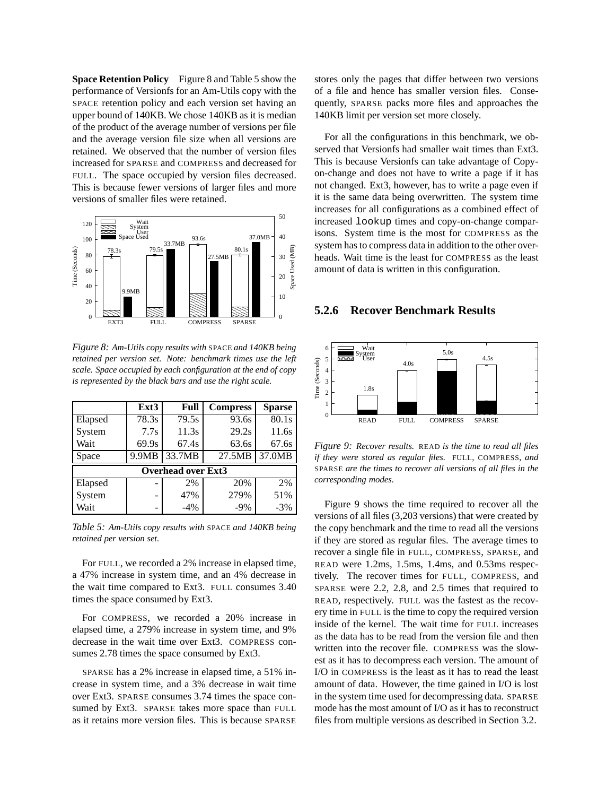**Space Retention Policy** Figure 8 and Table 5 show the performance of Versionfs for an Am-Utils copy with the SPACE retention policy and each version set having an upper bound of 140KB. We chose 140KB as it is median of the product of the average number of versions per file and the average version file size when all versions are retained. We observed that the number of version files increased for SPARSE and COMPRESS and decreased for FULL. The space occupied by version files decreased. This is because fewer versions of larger files and more versions of smaller files were retained.



*Figure 8: Am-Utils copy results with* SPACE *and 140KB being retained per version set. Note: benchmark times use the left scale. Space occupied by each configuration at the end of copy is represented by the black bars and use the right scale.*

|                           | Ext3  | Full   | <b>Compress</b> | <b>Sparse</b> |  |  |  |  |
|---------------------------|-------|--------|-----------------|---------------|--|--|--|--|
| Elapsed                   | 78.3s | 79.5s  | 93.6s           | 80.1s         |  |  |  |  |
| System                    | 7.7s  | 11.3s  | 29.2s           | 11.6s         |  |  |  |  |
| Wait                      | 69.9s | 67.4s  | 63.6s           | 67.6s         |  |  |  |  |
| Space                     | 9.9MB | 33.7MB | 27.5MB          | 37.0MB        |  |  |  |  |
| <b>Overhead over Ext3</b> |       |        |                 |               |  |  |  |  |
| Elapsed                   |       | 2%     | 20%             | 2%            |  |  |  |  |
| System                    | -     | 47%    | 279%            | 51%           |  |  |  |  |
| Wait                      | -     | $-4%$  | $-9%$           | $-3%$         |  |  |  |  |

*Table 5: Am-Utils copy results with* SPACE *and 140KB being retained per version set.*

For FULL, we recorded a 2% increase in elapsed time, a 47% increase in system time, and an 4% decrease in the wait time compared to Ext3. FULL consumes 3.40 times the space consumed by Ext3.

For COMPRESS, we recorded a 20% increase in elapsed time, a 279% increase in system time, and 9% decrease in the wait time over Ext3. COMPRESS consumes 2.78 times the space consumed by Ext3.

SPARSE has a 2% increase in elapsed time, a 51% increase in system time, and a 3% decrease in wait time over Ext3. SPARSE consumes 3.74 times the space consumed by Ext3. SPARSE takes more space than FULL as it retains more version files. This is because SPARSE stores only the pages that differ between two versions of a file and hence has smaller version files. Consequently, SPARSE packs more files and approaches the 140KB limit per version set more closely.

For all the configurations in this benchmark, we observed that Versionfs had smaller wait times than Ext3. This is because Versionfs can take advantage of Copyon-change and does not have to write a page if it has not changed. Ext3, however, has to write a page even if it is the same data being overwritten. The system time increases for all configurations as a combined effect of increased lookup times and copy-on-change comparisons. System time is the most for COMPRESS as the system has to compress data in addition to the other overheads. Wait time is the least for COMPRESS as the least amount of data is written in this configuration.

#### **5.2.6 Recover Benchmark Results**



*Figure 9: Recover results.* READ *is the time to read all files if they were stored as regular files.* FULL*,* COMPRESS*, and* SPARSE *are the times to recover all versions of all files in the corresponding modes.*

Figure 9 shows the time required to recover all the versions of all files (3,203 versions) that were created by the copy benchmark and the time to read all the versions if they are stored as regular files. The average times to recover a single file in FULL, COMPRESS, SPARSE, and READ were 1.2ms, 1.5ms, 1.4ms, and 0.53ms respectively. The recover times for FULL, COMPRESS, and SPARSE were 2.2, 2.8, and 2.5 times that required to READ, respectively. FULL was the fastest as the recovery time in FULL is the time to copy the required version inside of the kernel. The wait time for FULL increases as the data has to be read from the version file and then written into the recover file. COMPRESS was the slowest as it has to decompress each version. The amount of I/O in COMPRESS is the least as it has to read the least amount of data. However, the time gained in I/O is lost in the system time used for decompressing data. SPARSE mode has the most amount of I/O as it has to reconstruct files from multiple versions as described in Section 3.2.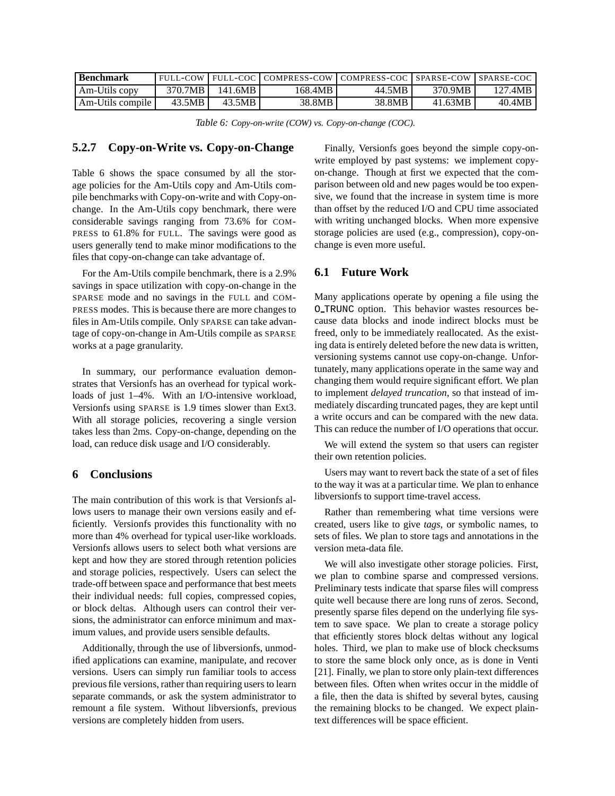| <b>Benchmark</b> |         |         | FULL-COW FULL-COC COMPRESS-COW COMPRESS-COC SPARSE-COW SPARSE-COC |        |         |         |
|------------------|---------|---------|-------------------------------------------------------------------|--------|---------|---------|
| Am-Utils copy    | 370.7MB | 141.6MB | 168.4MB                                                           | 44.5MB | 370.9MB | 127.4MB |
| Am-Utils compile | 43.5MB  | 43.5MB  | 38.8MB                                                            | 38.8MB | 41.63MB | 40.4MB  |

*Table 6: Copy-on-write (COW) vs. Copy-on-change (COC).*

## **5.2.7 Copy-on-Write vs. Copy-on-Change**

Table 6 shows the space consumed by all the storage policies for the Am-Utils copy and Am-Utils compile benchmarks with Copy-on-write and with Copy-onchange. In the Am-Utils copy benchmark, there were considerable savings ranging from 73.6% for COM-PRESS to 61.8% for FULL. The savings were good as users generally tend to make minor modifications to the files that copy-on-change can take advantage of.

For the Am-Utils compile benchmark, there is a 2.9% savings in space utilization with copy-on-change in the SPARSE mode and no savings in the FULL and COM-PRESS modes. This is because there are more changes to files in Am-Utils compile. Only SPARSE can take advantage of copy-on-change in Am-Utils compile as SPARSE works at a page granularity.

In summary, our performance evaluation demonstrates that Versionfs has an overhead for typical workloads of just 1–4%. With an I/O-intensive workload, Versionfs using SPARSE is 1.9 times slower than Ext3. With all storage policies, recovering a single version takes less than 2ms. Copy-on-change, depending on the load, can reduce disk usage and I/O considerably.

## **6 Conclusions**

The main contribution of this work is that Versionfs allows users to manage their own versions easily and efficiently. Versionfs provides this functionality with no more than 4% overhead for typical user-like workloads. Versionfs allows users to select both what versions are kept and how they are stored through retention policies and storage policies, respectively. Users can select the trade-off between space and performance that best meets their individual needs: full copies, compressed copies, or block deltas. Although users can control their versions, the administrator can enforce minimum and maximum values, and provide users sensible defaults.

Additionally, through the use of libversionfs, unmodified applications can examine, manipulate, and recover versions. Users can simply run familiar tools to access previous file versions, rather than requiring users to learn separate commands, or ask the system administrator to remount a file system. Without libversionfs, previous versions are completely hidden from users.

Finally, Versionfs goes beyond the simple copy-onwrite employed by past systems: we implement copyon-change. Though at first we expected that the comparison between old and new pages would be too expensive, we found that the increase in system time is more than offset by the reduced I/O and CPU time associated with writing unchanged blocks. When more expensive storage policies are used (e.g., compression), copy-onchange is even more useful.

## **6.1 Future Work**

Many applications operate by opening a file using the O TRUNC option. This behavior wastes resources because data blocks and inode indirect blocks must be freed, only to be immediately reallocated. As the existing data is entirely deleted before the new data is written, versioning systems cannot use copy-on-change. Unfortunately, many applications operate in the same way and changing them would require significant effort. We plan to implement *delayed truncation*, so that instead of immediately discarding truncated pages, they are kept until a write occurs and can be compared with the new data. This can reduce the number of I/O operations that occur.

We will extend the system so that users can register their own retention policies.

Users may want to revert back the state of a set of files to the way it was at a particular time. We plan to enhance libversionfs to support time-travel access.

Rather than remembering what time versions were created, users like to give *tags*, or symbolic names, to sets of files. We plan to store tags and annotations in the version meta-data file.

We will also investigate other storage policies. First, we plan to combine sparse and compressed versions. Preliminary tests indicate that sparse files will compress quite well because there are long runs of zeros. Second, presently sparse files depend on the underlying file system to save space. We plan to create a storage policy that efficiently stores block deltas without any logical holes. Third, we plan to make use of block checksums to store the same block only once, as is done in Venti [21]. Finally, we plan to store only plain-text differences between files. Often when writes occur in the middle of a file, then the data is shifted by several bytes, causing the remaining blocks to be changed. We expect plaintext differences will be space efficient.